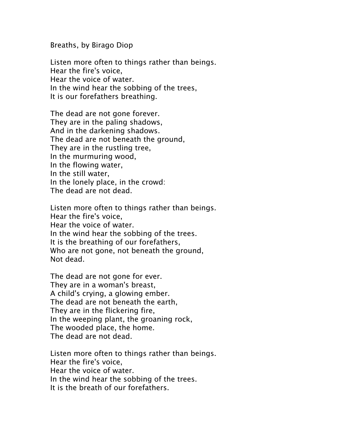Breaths, by Birago Diop

Listen more often to things rather than beings. Hear the fire's voice, Hear the voice of water. In the wind hear the sobbing of the trees, It is our forefathers breathing.

The dead are not gone forever. They are in the paling shadows, And in the darkening shadows. The dead are not beneath the ground, They are in the rustling tree, In the murmuring wood, In the flowing water, In the still water, In the lonely place, in the crowd: The dead are not dead.

Listen more often to things rather than beings. Hear the fire's voice, Hear the voice of water. In the wind hear the sobbing of the trees. It is the breathing of our forefathers, Who are not gone, not beneath the ground, Not dead.

The dead are not gone for ever. They are in a woman's breast, A child's crying, a glowing ember. The dead are not beneath the earth, They are in the flickering fire, In the weeping plant, the groaning rock, The wooded place, the home. The dead are not dead.

Listen more often to things rather than beings. Hear the fire's voice, Hear the voice of water. In the wind hear the sobbing of the trees. It is the breath of our forefathers.